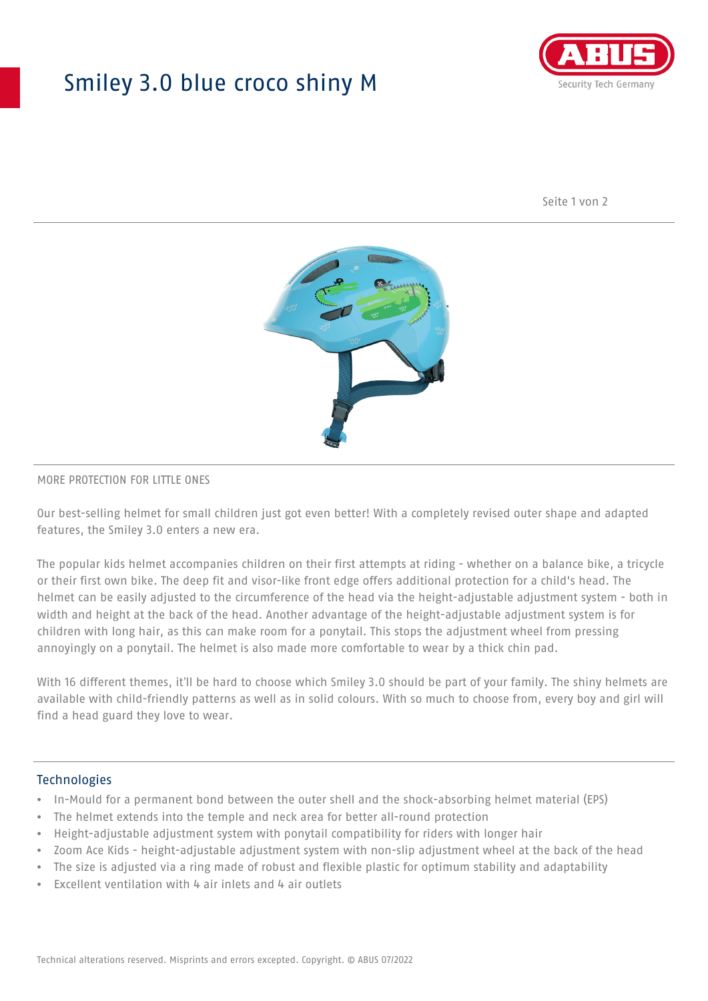## Smiley 3.0 blue croco shiny M



Seite 1 von 2



#### MORE PROTECTION FOR LITTLE ONES

Our best-selling helmet for small children just got even better! With a completely revised outer shape and adapted features, the Smiley 3.0 enters a new era.

The popular kids helmet accompanies children on their first attempts at riding - whether on a balance bike, a tricycle or their first own bike. The deep fit and visor-like front edge offers additional protection for a child's head. The helmet can be easily adjusted to the circumference of the head via the height-adjustable adjustment system - both in width and height at the back of the head. Another advantage of the height-adjustable adjustment system is for children with long hair, as this can make room for a ponytail. This stops the adjustment wheel from pressing annoyingly on a ponytail. The helmet is also made more comfortable to wear by a thick chin pad.

With 16 different themes, it'll be hard to choose which Smiley 3.0 should be part of your family. The shiny helmets are available with child-friendly patterns as well as in solid colours. With so much to choose from, every boy and girl will find a head guard they love to wear.

#### Technologies

- In-Mould for a permanent bond between the outer shell and the shock-absorbing helmet material (EPS)
- The helmet extends into the temple and neck area for better all-round protection
- Height-adjustable adjustment system with ponytail compatibility for riders with longer hair
- Zoom Ace Kids height-adjustable adjustment system with non-slip adjustment wheel at the back of the head
- The size is adjusted via a ring made of robust and flexible plastic for optimum stability and adaptability
- Excellent ventilation with 4 air inlets and 4 air outlets